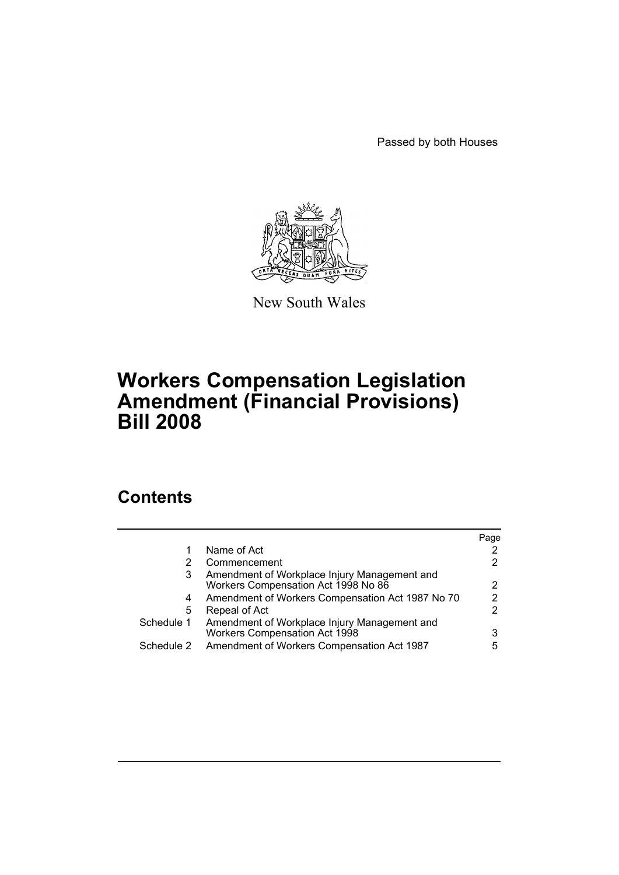Passed by both Houses



New South Wales

# **Workers Compensation Legislation Amendment (Financial Provisions) Bill 2008**

# **Contents**

|            |                                                                                     | Page |
|------------|-------------------------------------------------------------------------------------|------|
| 1          | Name of Act                                                                         |      |
| 2          | Commencement                                                                        | 2    |
| 3          | Amendment of Workplace Injury Management and<br>Workers Compensation Act 1998 No 86 | 2    |
| 4          | Amendment of Workers Compensation Act 1987 No 70                                    | 2    |
| 5          | Repeal of Act                                                                       | 2    |
| Schedule 1 | Amendment of Workplace Injury Management and<br>Workers Compensation Act 1998       | 3    |
| Schedule 2 | Amendment of Workers Compensation Act 1987                                          | 5    |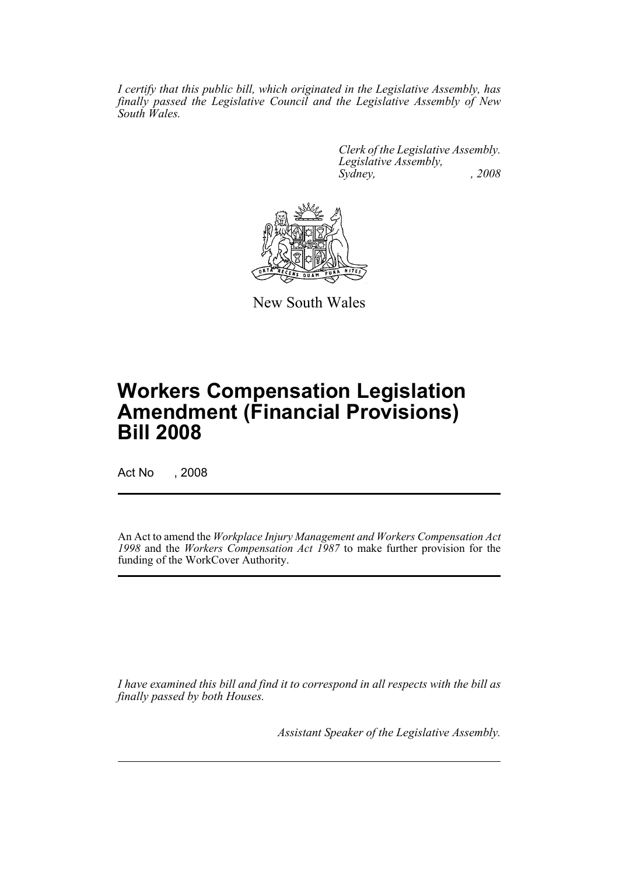*I certify that this public bill, which originated in the Legislative Assembly, has finally passed the Legislative Council and the Legislative Assembly of New South Wales.*

> *Clerk of the Legislative Assembly. Legislative Assembly, Sydney, , 2008*



New South Wales

# **Workers Compensation Legislation Amendment (Financial Provisions) Bill 2008**

Act No , 2008

An Act to amend the *Workplace Injury Management and Workers Compensation Act 1998* and the *Workers Compensation Act 1987* to make further provision for the funding of the WorkCover Authority.

*I have examined this bill and find it to correspond in all respects with the bill as finally passed by both Houses.*

*Assistant Speaker of the Legislative Assembly.*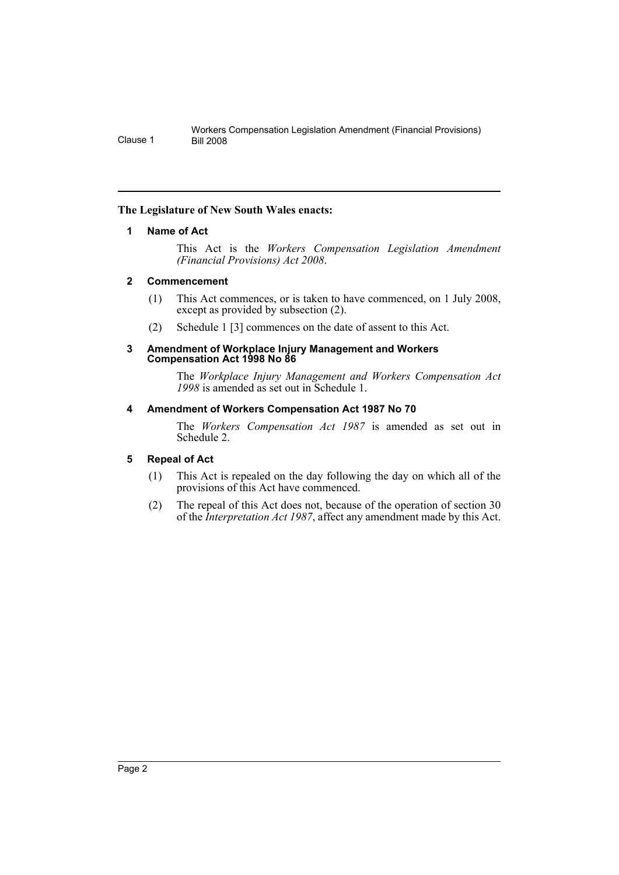### <span id="page-2-0"></span>**The Legislature of New South Wales enacts:**

# **1 Name of Act**

This Act is the *Workers Compensation Legislation Amendment (Financial Provisions) Act 2008*.

# <span id="page-2-1"></span>**2 Commencement**

- (1) This Act commences, or is taken to have commenced, on 1 July 2008, except as provided by subsection (2).
- (2) Schedule 1 [3] commences on the date of assent to this Act.

#### <span id="page-2-2"></span>**3 Amendment of Workplace Injury Management and Workers Compensation Act 1998 No 86**

The *Workplace Injury Management and Workers Compensation Act 1998* is amended as set out in Schedule 1.

# <span id="page-2-3"></span>**4 Amendment of Workers Compensation Act 1987 No 70**

The *Workers Compensation Act 1987* is amended as set out in Schedule 2.

# <span id="page-2-4"></span>**5 Repeal of Act**

- (1) This Act is repealed on the day following the day on which all of the provisions of this Act have commenced.
- (2) The repeal of this Act does not, because of the operation of section 30 of the *Interpretation Act 1987*, affect any amendment made by this Act.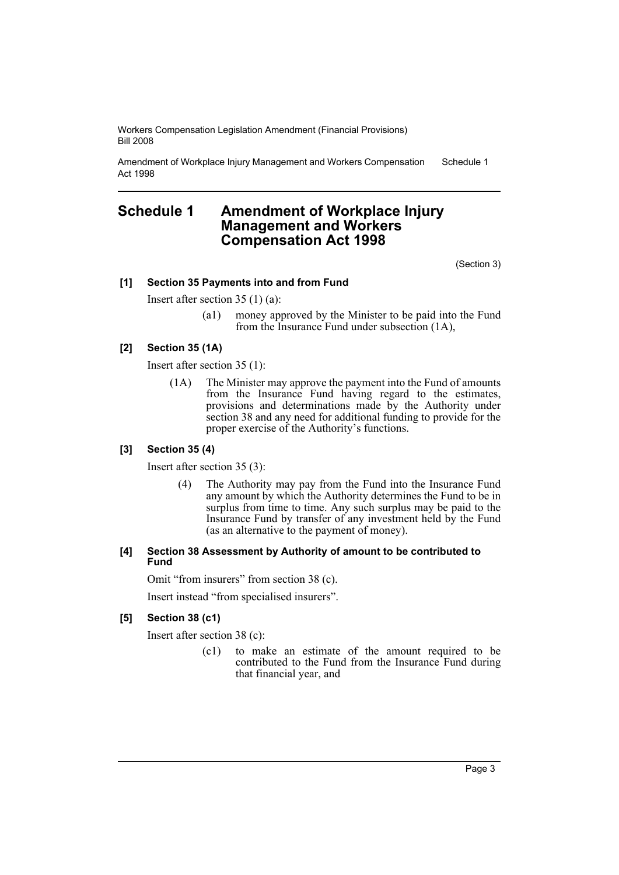Amendment of Workplace Injury Management and Workers Compensation Act 1998 Schedule 1

# <span id="page-3-0"></span>**Schedule 1 Amendment of Workplace Injury Management and Workers Compensation Act 1998**

(Section 3)

#### **[1] Section 35 Payments into and from Fund**

Insert after section 35 (1) (a):

(a1) money approved by the Minister to be paid into the Fund from the Insurance Fund under subsection (1A),

### **[2] Section 35 (1A)**

Insert after section 35 (1):

(1A) The Minister may approve the payment into the Fund of amounts from the Insurance Fund having regard to the estimates, provisions and determinations made by the Authority under section 38 and any need for additional funding to provide for the proper exercise of the Authority's functions.

#### **[3] Section 35 (4)**

Insert after section 35 (3):

(4) The Authority may pay from the Fund into the Insurance Fund any amount by which the Authority determines the Fund to be in surplus from time to time. Any such surplus may be paid to the Insurance Fund by transfer of any investment held by the Fund (as an alternative to the payment of money).

#### **[4] Section 38 Assessment by Authority of amount to be contributed to Fund**

Omit "from insurers" from section 38 (c).

Insert instead "from specialised insurers".

#### **[5] Section 38 (c1)**

Insert after section 38 (c):

(c1) to make an estimate of the amount required to be contributed to the Fund from the Insurance Fund during that financial year, and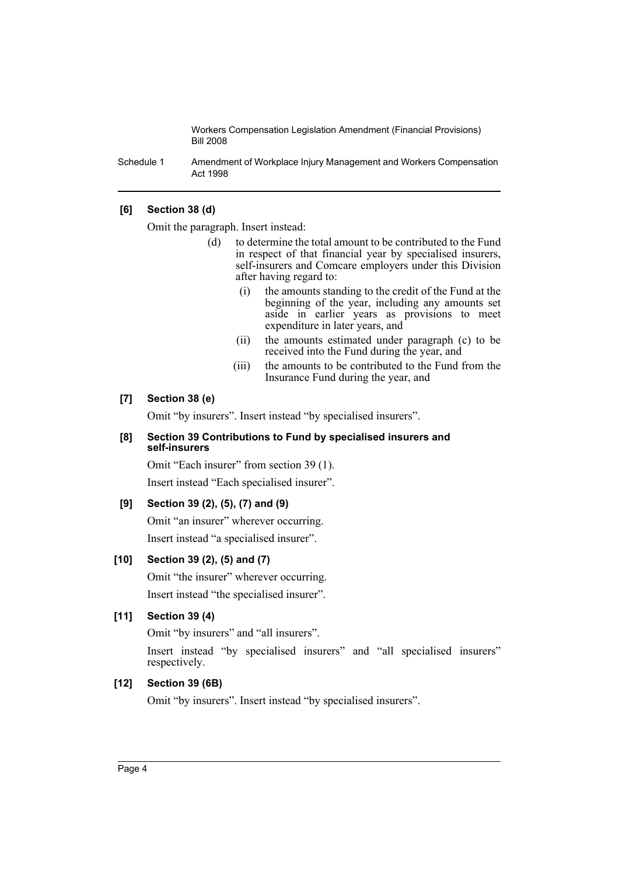Schedule 1 Amendment of Workplace Injury Management and Workers Compensation Act 1998

## **[6] Section 38 (d)**

Omit the paragraph. Insert instead:

- (d) to determine the total amount to be contributed to the Fund in respect of that financial year by specialised insurers, self-insurers and Comcare employers under this Division after having regard to:
	- (i) the amounts standing to the credit of the Fund at the beginning of the year, including any amounts set aside in earlier years as provisions to meet expenditure in later years, and
	- (ii) the amounts estimated under paragraph (c) to be received into the Fund during the year, and
	- (iii) the amounts to be contributed to the Fund from the Insurance Fund during the year, and

#### **[7] Section 38 (e)**

Omit "by insurers". Insert instead "by specialised insurers".

#### **[8] Section 39 Contributions to Fund by specialised insurers and self-insurers**

Omit "Each insurer" from section 39 (1).

Insert instead "Each specialised insurer".

### **[9] Section 39 (2), (5), (7) and (9)**

Omit "an insurer" wherever occurring.

Insert instead "a specialised insurer".

### **[10] Section 39 (2), (5) and (7)**

Omit "the insurer" wherever occurring. Insert instead "the specialised insurer".

### **[11] Section 39 (4)**

Omit "by insurers" and "all insurers".

Insert instead "by specialised insurers" and "all specialised insurers" respectively.

### **[12] Section 39 (6B)**

Omit "by insurers". Insert instead "by specialised insurers".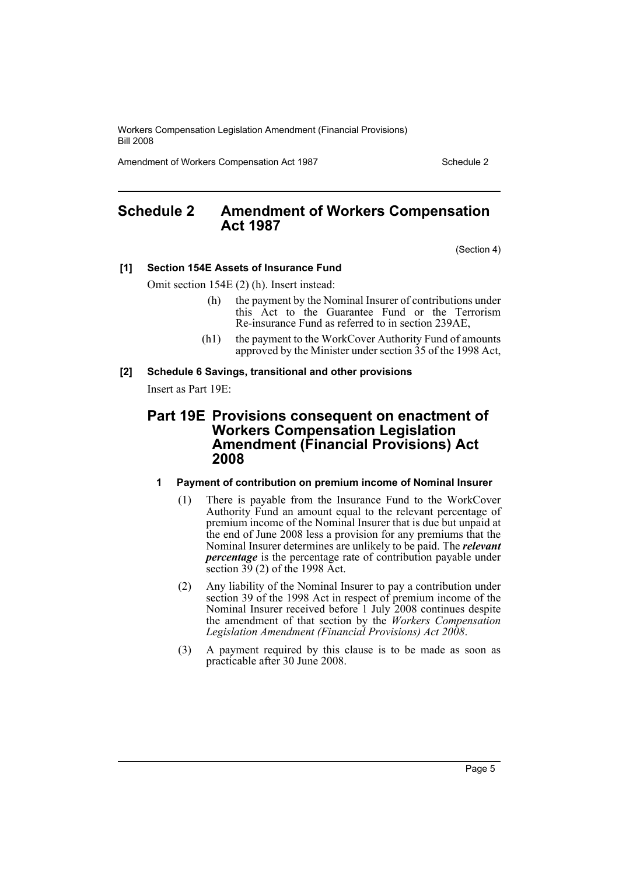Amendment of Workers Compensation Act 1987 Manual Amendment of Workers Compensation Act 1987

# <span id="page-5-0"></span>**Schedule 2 Amendment of Workers Compensation Act 1987**

(Section 4)

#### **[1] Section 154E Assets of Insurance Fund**

Omit section 154E (2) (h). Insert instead:

- (h) the payment by the Nominal Insurer of contributions under this Act to the Guarantee Fund or the Terrorism Re-insurance Fund as referred to in section 239AE,
- (h1) the payment to the WorkCover Authority Fund of amounts approved by the Minister under section 35 of the 1998 Act,

#### **[2] Schedule 6 Savings, transitional and other provisions**

Insert as Part 19E:

# **Part 19E Provisions consequent on enactment of Workers Compensation Legislation Amendment (Financial Provisions) Act 2008**

# **1 Payment of contribution on premium income of Nominal Insurer**

- (1) There is payable from the Insurance Fund to the WorkCover Authority Fund an amount equal to the relevant percentage of premium income of the Nominal Insurer that is due but unpaid at the end of June 2008 less a provision for any premiums that the Nominal Insurer determines are unlikely to be paid. The *relevant percentage* is the percentage rate of contribution payable under section  $3\overline{9}$  (2) of the 1998 Act.
- (2) Any liability of the Nominal Insurer to pay a contribution under section 39 of the 1998 Act in respect of premium income of the Nominal Insurer received before 1 July 2008 continues despite the amendment of that section by the *Workers Compensation Legislation Amendment (Financial Provisions) Act 2008*.
- (3) A payment required by this clause is to be made as soon as practicable after 30 June 2008.